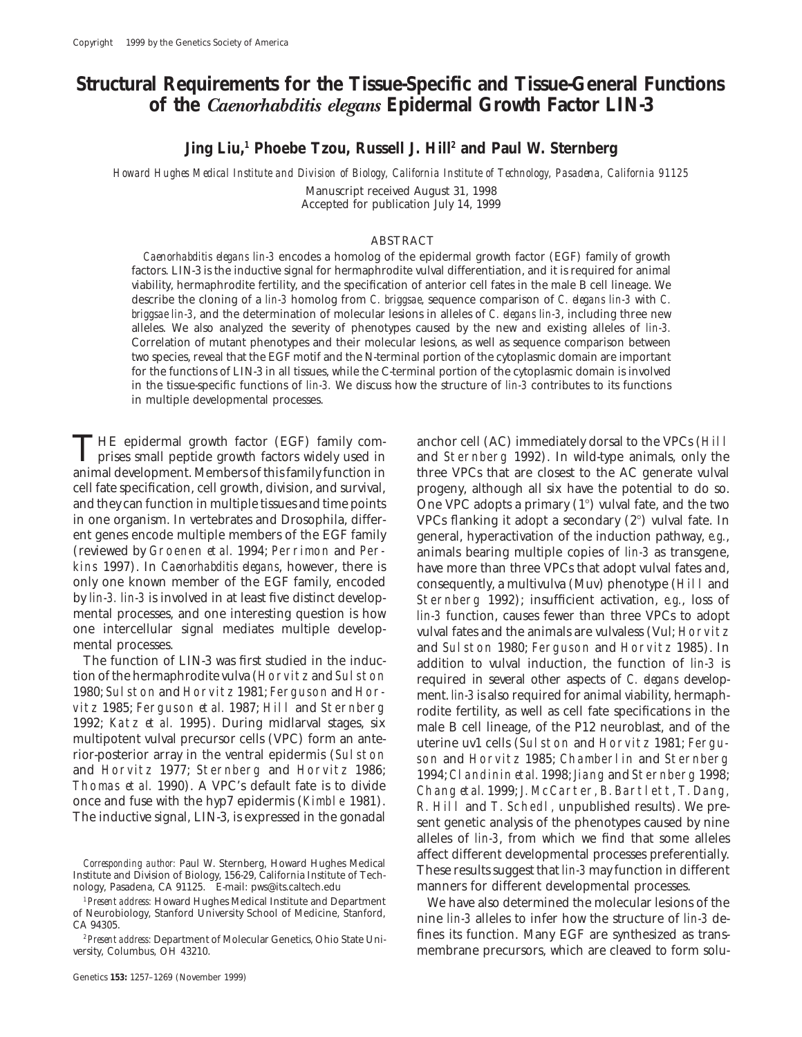# **Structural Requirements for the Tissue-Specific and Tissue-General Functions of the** *Caenorhabditis elegans* **Epidermal Growth Factor LIN-3**

**Jing Liu,1 Phoebe Tzou, Russell J. Hill2 and Paul W. Sternberg**

*Howard Hughes Medical Institute and Division of Biology, California Institute of Technology, Pasadena, California 91125*

Manuscript received August 31, 1998 Accepted for publication July 14, 1999

# ABSTRACT

*Caenorhabditis elegans lin-3* encodes a homolog of the epidermal growth factor (EGF) family of growth factors. LIN-3 is the inductive signal for hermaphrodite vulval differentiation, and it is required for animal viability, hermaphrodite fertility, and the specification of anterior cell fates in the male B cell lineage. We describe the cloning of a *lin-3* homolog from *C. briggsae*, sequence comparison of *C. elegans lin-3* with *C. briggsae lin-3*, and the determination of molecular lesions in alleles of *C. elegans lin-3*, including three new alleles. We also analyzed the severity of phenotypes caused by the new and existing alleles of *lin-3.* Correlation of mutant phenotypes and their molecular lesions, as well as sequence comparison between two species, reveal that the EGF motif and the N-terminal portion of the cytoplasmic domain are important for the functions of LIN-3 in all tissues, while the C-terminal portion of the cytoplasmic domain is involved in the tissue-specific functions of *lin-3.* We discuss how the structure of *lin-3* contributes to its functions in multiple developmental processes.

THE epidermal growth factor (EGF) family com-<br>
prises small peptide growth factors widely used in and Sternberg 1992). In wild-type animals, only the<br>
parimel development Mombers of this family function in the VPCs that ar animal development. Members of this family function in three VPCs that are closest to the AC generate vulval cell fate specification, cell growth, division, and survival, progeny, although all six have the potential to do so. and they can function in multiple tissues and time points  $\qquad$  One VPC adopts a primary (1°) vulval fate, and the two in one organism. In vertebrates and Drosophila, differ- VPCs flanking it adopt a secondary  $(2^{\circ})$  vulval fate. In ent genes encode multiple members of the EGF family general, hyperactivation of the induction pathway, *e.g.*, (reviewed by Groenen *et al.* 1994; Perrimon and Per-<br>animals bearing multiple copies of *lin-3* as transgene, (reviewed by Groenen *et al.* 1994; Perrimon and Per- animals bearing multiple copies of *lin-3* as transgene, kins 1997). In *Caenorhabditis elegans*, however, there is have more than three VPCs that adopt vulval fates and, only one known member of the EGF family, encoded consequently, a multivulva (Muv) phenotype (Hill and<br>by *lin-3. lin-3* is involved in at least five distinct develop Sternberg 1992): insufficient activation. *e.g.*, loss o by *lin-3. lin-3* is involved in at least five distinct develop- Sternberg 1992); insufficient activation, *e.g.*, loss of mental processes, and one interesting question is how *lin-3* function, causes fewer than three VPCs to adopt one intercellular signal mediates multiple develop vulval fates and the animals are vulvaless (Vul: Horvitz one intercellular signal mediates multiple develop-<br>mental processes. The animal processes and the same same same same same in the servisor and Horvitz 1985). In

The function of LIN-3 was first studied in the induc-<br>tion of the hermaphrodite vulva (Horvitz and Sulston required in several other aspects of *C* elegans develop-

ental processes.<br>The function of LIN-3 was first studied in the induc-<br>addition to vulval induction, the function of *lin-3* is tion of the hermaphrodite vulva (Horvitz and Sulston<br>
1980; Sulston and Horvitz 1981; Ferguson and Horvitz and Sulston<br>
1980; Sulston and Horvitz 1981; Ferguson and Horvitz<br>
1982; Katz et al. 1995). During midlarval stage alleles of *lin-3*, from which we find that some alleles *Corresponding author:* Paul W. Sternberg, Howard Hughes Medical Institute and Division of Biology, 156-29, California Institute of Tech-<br>Institute and Division of Biology, 156-29, California Institute of Tech-<br>nology, Pas manners for different developmental processes.

<sup>1</sup> Present address: Howard Hughes Medical Institute and Department We have also determined the molecular lesions of the of Neurobiology, Stanford University School of Medicine, Stanford, in parties of the 2 do of Neurobiology, Stanford University School of Medicine, Stanford,<br>CA 94305.<br><sup>2</sup> Present address: Department of Molecular Cenetics. Objectate Uni. **1998** fines its function. Many EGF are synthesized as transmembrane precursors, which are cleaved to form solu-

<sup>&</sup>lt;sup>2</sup> Present address: Department of Molecular Genetics, Ohio State University, Columbus, OH 43210.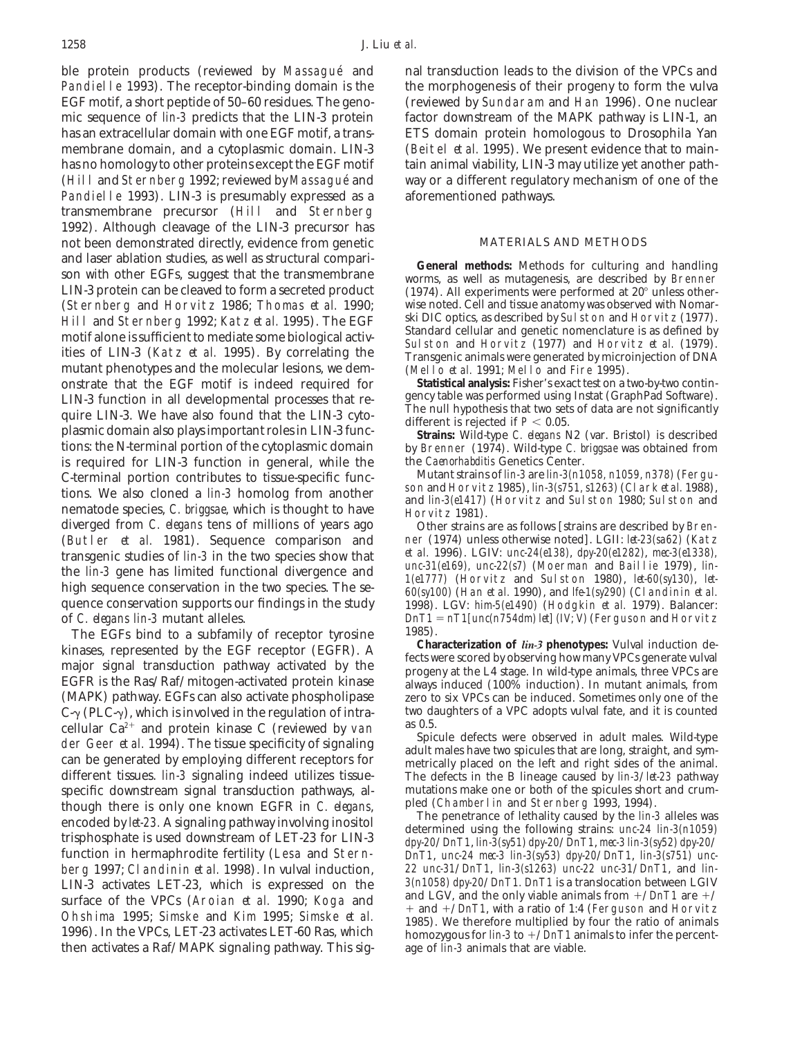ble protein products (reviewed by Massagué and nal transduction leads to the division of the VPCs and Pandielle 1993). The receptor-binding domain is the the morphogenesis of their progeny to form the vulva EGF motif, a short peptide of 50–60 residues. The geno- (reviewed by Sundaram and Han 1996). One nuclear mic sequence of *lin-3* predicts that the LIN-3 protein factor downstream of the MAPK pathway is LIN-1, an has an extracellular domain with one EGF motif, a trans- ETS domain protein homologous to Drosophila Yan membrane domain, and a cytoplasmic domain. LIN-3 (Beitel *et al.* 1995). We present evidence that to mainhas no homology to other proteins except the EGF motif tain animal viability, LIN-3 may utilize yet another path-(Hill and Sternberg 1992; reviewed by Massague´ and way or a different regulatory mechanism of one of the Pandielle 1993). LIN-3 is presumably expressed as a aforementioned pathways. transmembrane precursor (Hill and Sternberg 1992). Although cleavage of the LIN-3 precursor has not been demonstrated directly, evidence from genetic MATERIALS AND METHODS and laser ablation studies, as well as structural compari-<br>son with other EGFs, suggest that the transmembrane<br>LIN-3 protein can be cleaved to form a secreted product  $(1974)$ . All experiments were performed at  $20^{\circ}$  u (Sternberg and Horvitz 1986; Thomas *et al.* 1990; wise noted. Cell and tissue anatomy was observed with Nomar-<br>Hill and Sternberg 1992; Katz *et al.* 1995). The FCF ski DIC optics, as described by Sulston and Horvitz (197 Hill and Sternberg 1992; Katz *et al.* 1995). The EGF ski DC optics, as described by Sulston and Horvitz (1977).<br>
motif alone is sufficient to mediate some biological activ-<br>
ities of LIN-3 (Katz *et al.* 1995). By correla mutant phenotypes and the molecular lesions, we dem-<br>
on the Equinomer (Mello *et al.* 1991; Mello and Fire 1995).<br>
on the Equinomer of the Equinomer **Statistical analysis:** Fisher's exact test on a two-by-two continonstrate that the EGF motif is indeed required for **Statistical analysis:** Fisher's exact test on a two-by-two contin-LIN-3 function in all developmental processes that re-<br>gency table was performed using Instat (GraphPad Software).<br>The null hypothesis that two sets of data are not significantly quire LIN-3. We have also found that the LIN-3 cyto-<br>plasmic domain also plays important roles in LIN-3 func-<br>tions: the N-terminal portion of the cytoplasmic domain<br>tions: the N-terminal portion of the cytoplasmic domain is required for LIN-3 function in general, while the the *Caenorhabditis* Genetics Center.<br>Caterminal portion contributes to tissue-specific funce Mutant strains of *lin-3* are *lin-3(n1058, n1059, n378)* (Fergu-C-terminal portion contributes to tissue-specific func- Mutant strains of *lin-3* are *lin-3(n1058, n1059, n378)* (Fergutions. We also cloned a *lin-3* homolog from another<br>nematode species, *C. briggsae*, which is thought to have<br>diverged from *C. elegans* tens of millions of years ago<br>Other strains are as follows [strains are described b (Butler *et al.* 1981). Sequence comparison and ner (1974) unless otherwise noted]. LGII: *let-23(sa62)* (Katz<br>transgenic studies of *lin-3* in the two species show that *et al.* 1996). LGIV: *unc-24(e138), dpy-20(e1282),* transgenic studies of *lin-3* in the two species show that the *lin-3* gene has limited functional divergence and<br>high sequence conservation in the two species. The se-<br>high sequence conservation in the two species. The s quence conservation supports our findings in the study 1998). LGV: *him-5(e1490)* (Hodgkin *et al.* 1979). Balancer:<br>of *C. elegans lin-3* mutant alleles.  $DnT1 = nT1[unc(n754dm) let] (IV; V)$  (Ferguson and Horvitz

The EGFs bind to a subfamily of receptor tyrosine  $\frac{1985}{1985}$ .<br>Increase represented by the EGE receptor (EGFP) A **Characterization of** *lin-3* **phenotypes:** Vulval induction dekinases, represented by the EGF receptor (EGFR). A<br>major signal transduction pathway activated by the<br>EGFR is the Ras/Raf/mitogen-activated protein kinase<br>EGFR is the Ras/Raf/mitogen-activated protein kinase<br>(MAPK) pathway (MAPK) pathway. EGFs can also activate phospholipase zero to six VPCs can be induced. Sometimes only one of the  $C_{\sim}$  (PLC- $\sim$ ) which is involved in the regulation of intra- $C_{\gamma}$  (PLC- $\gamma$ ), which is involved in the regulation of intra-<br>collular  $C_2^{2+}$  and protein kinase C (reviewed by van as 0.5. cellular Ca<sup>2+</sup> and protein kinase C (reviewed by van<br>der Geer *et al.* 1994). The tissue specificity of signaling<br>can be generated by employing different receptors for<br>different tissues. *lin-3* signaling indeed utilizes specific downstream signal transduction pathways, al-<br>though there is only one known EGER in C elegans and Chamberlin and Sternberg 1993, 1994). though there is only one known EGFR in C. elegans,<br>encoded by let-23. A signaling pathway involving inositol<br>trisphosphate is used downstream of LET-23 for LIN-3<br>function in hermaphrodite fertility (Lesa and Stern-<br> $\frac{dyy$ berg 1997; Clandinin *et al.* 1998). In vulval induction, *22 unc-31*/*DnT1*, *lin-3(s1263) unc-22 unc-31*/*DnT1*, and *lin-*LIN-3 activates LET-23, which is expressed on the  $\frac{3(n1058)}{2000}$  dpy-20/*DnT1. DnT1* is a translocation between LGIV and the only viable animals from  $\pm$ /*DnT1* are  $\pm$ / surface of the VPCs (Aroian *et al.* 1990; Koga and  $+$  and  $+\sqrt{Dn}$ , with a ratio of 1:4 (Ferguson and Horvitz Ohshima 1995; Simske and Kim 1995; Simske *et al.* 1985). We therefore multiplied by four the ratio of animals 1996). In the VPCs, LET-23 activates LET-60 Ras, which homozygous for *lin-3* to  $+$ /*DnT1* animals to infer t then activates a Raf/MAPK signaling pathway. This sig- age of *lin-3* animals that are viable.

(1974). All experiments were performed at  $20^{\circ}$  unless other-

by Brenner (1974). Wild-type *C. briggsae* was obtained from<br>the *Caenorhabditis* Genetics Center.

Other strains are as follows [strains are described by Bren-<br>ner (1974) unless otherwise noted]. LGII: *let-23(sa62)* (Katz *DnT1* = *nT1[unc(n754dm) let] (IV; V)* (Ferguson and Horvitz<br>1985).

The defects in the B lineage caused by *lin-3/let-23* pathway mutations make one or both of the spicules short and crum-

function in hermaphrodite fertility (Lesa and Stern- *DnT1*, *unc-24 mec-3 lin-3(sy53) dpy-20*/*DnT1*, *lin-3(s751) unc-*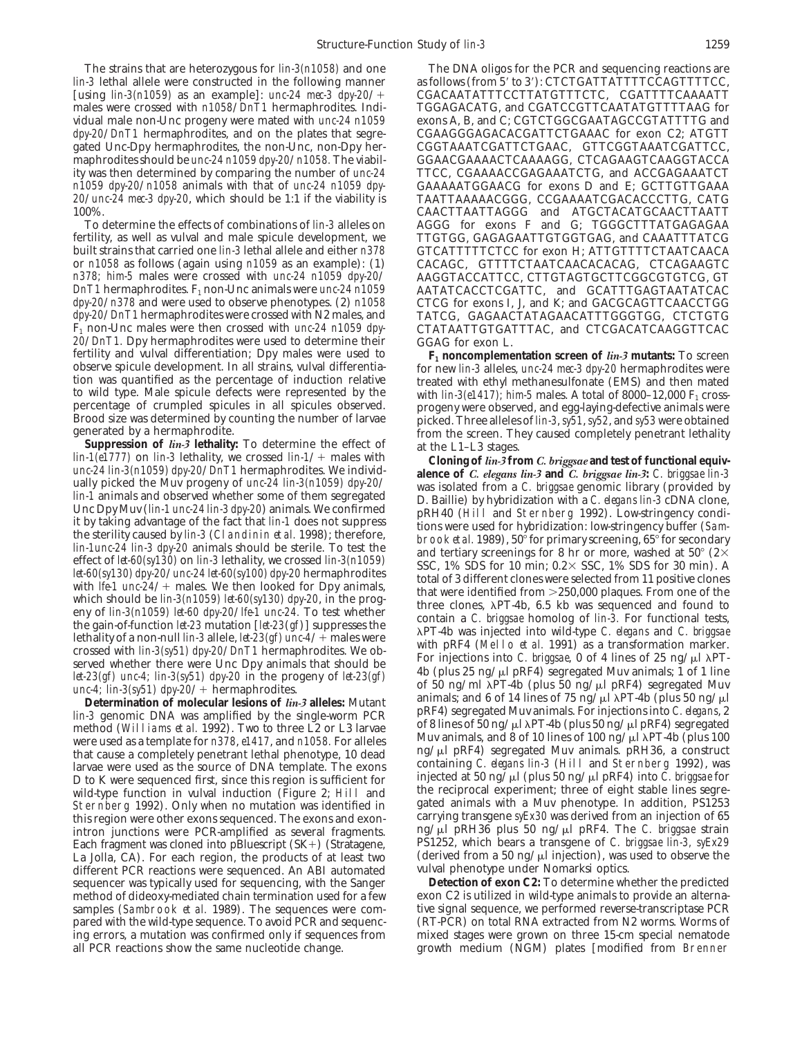The strains that are heterozygous for *lin-3(n1058)* and one The DNA oligos for the PCR and sequencing reactions are *lin-3* lethal allele were constructed in the following manner as follows (from 5' to 3'): CTCTGATTATTTCC [using *lin-3(n1059)* as an example]: *unc-24 mec-3 dpy-20*/1 CGACAATATTTCCTTATGTTTCTC, CGATTTTCAAAATT males were crossed with  $n1058/DnT1$  hermaphrodites. Individual male non-Unc progeny were mated with *unc-24 n1059* exons A, B, and C; CGTCTGGCGAATAGCCGTATTTTG and *dpy-20/DnT1* hermaphrodites, and on the plates that segre-<br>gated Unc-Dpy hermaphrodites, the non-Unc, non-Dpy her-<br>CGGTAAATCGATTCTGAAC, GTTCGGTAAATCGATTCC, gated Unc-Dpy hermaphrodites, the non-Unc, non-Dpy her-<br>maphrodites should be *unc-24 n1059 dpy-20/ n1058*. The viabil-<br>GGAACGAAAACTCAAAAGG, CTCAGAAGTCAAGGTACCA ity was then determined by comparing the number of *unc-24* TTCC, CGAAAACCGAGAAATCTG, and ACCGAGAAATCT *n1059 dpy-20*/*n1058* animals with that of *unc-24 n1059 dpy-* GAAAAATGGAACG for exons D and E; GCTTGTTGAAA *20*/*unc-24 mec-3 dpy-20*, which should be 1:1 if the viability is TAATTAAAAACGGG, CCGAAAATCGACACCCTTG, CATG

fertility, as well as vulval and male spicule development, we TTGTGG, GAGAGAATTGTGGTGAG, and CAAATTTATCG<br>built strains that carried one *lin-3* lethal allele and either *n378* GTCATTTTTCTCC for exon H; ATTGTTTTCTAATCAACA built strains that carried one *lin-3* lethal allele and either *n378* GTCATTTTCTCC for exon H; ATTGTTTTCTAATCAACAC<br>or *n1058* as follows (again using *n1059* as an example): (1) CACAGC, GTTTTCTAATCAACACACAC, CTCAGAAGTC or *n1058* as follows (again using *n1059* as an example): (1) CACAGC, GTTTTCTAATCAACACACAG, CTCAGAAGTC *DnT1* hermaphrodites. F<sub>1</sub> non-Unc animals were *unc-24 n1059* AATATCACCTCGATTC, and GCATTTGAGTAATATCACCTGG *dpy-20/n378* and were used to observe phenotypes. (2) *n1058* CTCG for exons I, J, and K; and GACGCAGTTCAACCTGG *dpy-20/<sub></sub> n378* and were used to observe phenotypes. (2) *n1058 dpy-20/ DnT1* hermaphrodites were crossed with N2 males, and F1 non-Unc males were then crossed with *unc-24 n1059 dpy-* CTATAATTGTGATTTAC, and CTCGACATCAAGGTTCAC  $20/DnT1$ . Dpy hermaphrodites were used to determine their GGAG for exon L. fertility and vulval differentiation; Dpy males were used to  $F_1$  **noncompleme** fertility and vulval differentiation; Dpy males were used to **F<sub>1</sub> noncomplementation screen of** *lin-3* **mutants:** To screen observe spicule development. In all strains, vulval differentia for new *lin-3* alleles, *unc-24* tion was quantified as the percentage of induction relative<br>to wild type. Male spicule defects were represented by the with  $\lim_{3\left(e1417\right)$ ; him-5 males. A total of 8000–12,000 F<sub>1</sub> cross-<br>percentage of crumpled spicules

*lin-3* genomic DNA was amplified by the single-worm PCR<br>method (Williams *et al.* 1992). Two to three L2 or L3 larvae<br>were used as a template for *n378*, *e1417*, and *n1058*. For alleles<br>that cause a completely penetran larvae were used as the source of DNA template. The exons containing C. elegans lin-3 (Hill and Sternberg 1992), was n to the sequenced first, since this region is sufficient for injected at 50 ng/ $\mu$ l (plus 50 ng/ $\mu$ l pRF4) into  $\vec{C}$ . *briggsae* for into  $\vec{C}$ . *briggsae* for into *C. briggsae* for  $\mu$  of the reciprocal experime wild-type function in vulval induction (Figure 2; Hill and the reciprocal experiment; three of eight stable lines segre-<br>Sternberg 1992), Only when no mutation was identified in gated animals with a Muy phenotype. In addit Sternberg 1992). Only when no mutation was identified in gated animals with a Muv phenotype. In addition, PS1253<br>this region were other exons sequenced. The exons and exon-<br>carrying transgene *syEx30* was derived from an i this region were other exons sequenced. The exons and exon-<br>intron junctions, were PCR-amplified as several fragments and provided pRH36 plus 50 ng/µl pRF4. The *C. briggsae* strain intron junctions were PCR-amplified as several fragments. Ing/ $\mu$ l pRH36 plus 50 ng/ $\mu$ l pRF4. The *C. briggsae* strain<br>Each fragment was cloned into pBluescript (SK+) (Stratagene. PS1252, which bears a transgene of *C.* Each fragment was cloned into pBluescript (SK+) (Stratagene, PS1252, which bears a transgene of *C. briggsae lin-3, syEx29*<br>La Jolla, CA). For each region, the products of at least two (derived from a 50 ng/µl injection), La Jolla, CA). For each region, the products of at least two (derived from a 50 ng/ $\mu$ l injection), was different PCR reactions were sequenced. An ABI automated vulval phenotype under Nomarksi optics. different PCR reactions were sequenced. An ABI automated vulval phenotype under Nomarksi optics.<br>sequencer was typically used for sequencing, with the Sanger **Detection of exon C2:** To determine whether the predicted sequencer was typically used for sequencing, with the Sanger **Detection of exon C2:** To determine whether the predicted<br>method of dideoxy-mediated chain termination used for a few exon C2 is utilized in wild-type animals t method of dideoxy-mediated chain termination used for a few exon C2 is utilized in wild-type animals to provide an alterna-<br>samples (Sambrook *et al.* 1989). The sequences were com-<br>tive signal sequence, we performed rever samples (Sambrook *et al.* 1989). The sequences were com-<br>
pared with the wild-type sequence. To avoid PCR and sequenc-<br>
(RT-PCR) on total RNA extracted from N2 worms. Worms of pared with the wild-type sequence. To avoid PCR and sequencing errors, a mutation was confirmed only if sequences from mixed stages were grown on three 15-cm special nematode

*as follows (from 5' to 3'): CTCTGATTATTTTCCAGTTTTCC,* maphrodites should be *unc-24 n1059 dpy-20*/*n1058.* The viabil- GGAACGAAAACTCAAAAGG, CTCAGAAGTCAAGGTACCA 0%.<br>To determine the effects of combinations of *lin-3* alleles on and AGGG for exons F and G: TGGGCTTTATGAGAGAA AGGG for exons F and G; TGGGCTTTATGAGAGAA *AAGGTACCATTCC, CTTGTAGTGCTTCGGCGTGTCG, GT*<br>AATATCACCTCGATTC, and GCATTTGAGTAATATCAC *TATCG, GAGAACTATAGAACATTTGGGTGG, CTCTGTG* 

Brood size was determined by counting the number of larvae picked. Three alleles of *lin-3, sy51, sy52*, and *sy53* were obtained generated by a hermaphrodite. from the screen. They caused completely penetrant lethality

Suppression of lin-3 lehalihy: To determine the effect of<br>
from the screen They caused completely penetrant lethality<br>
lin-1647779 on lin-3 lethality: To determine the effect of<br>
lin-1647779 on lin-3 lethality. To determi

all PCR reactions show the same nucleotide change. growth medium (NGM) plates [modified from Brenner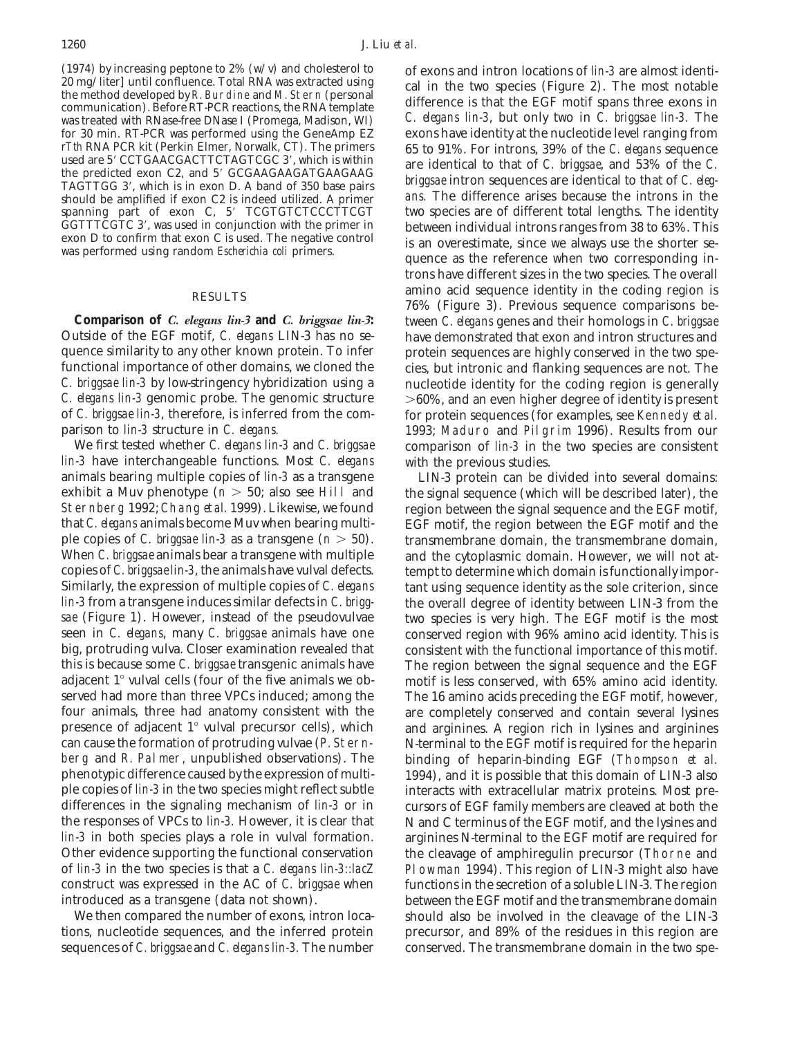(1974) by increasing peptone to  $2\%$  (w/v) and cholesterol to of exons and intron locations of *lin-3* are almost identi-<br> $20 \text{ mg/liter}$  until confluence. Total RNA was extracted using col in the two species (Figure 2). The for 30 min. RT-PCR was performed using the GeneAmp EZ  $rTth$  RNA PCR kit (Perkin Elmer, Norwalk, CT). The primers spanning part of exon C, 5' TCGTGTCTCCCTTCGT GGTTTCGTC 3', was used in conjunction with the primer in

quence similarity to any other known protein. To infer protein sequences are highly conserved in the two spefunctional importance of other domains, we cloned the cies, but intronic and flanking sequences are not. The *C. briggsae lin-3* by low-string ency hybridization using a nucleotide identity for the coding region is general *C. elegans lin-3* genomic probe. The genomic structure  $>60\%$ , and an even higher degree of identity is present of *C. briggsae lin-3*, therefore, is inferred from the com- for protein sequences (for examples, see Kennedy *et al.*

*lin-3* have interchangeable functions. Most *C. elegans* with the previous studies. animals bearing multiple copies of *lin-3* as a transgene LIN-3 protein can be divided into several domains: exhibit a Muv phenotype  $(n > 50;$  also see Hill and the signal sequence (which will be described later), the Sternberg 1992; Chang *et al.* 1999). Likewise, we found region between the signal sequence and the EGF motif, that *C. elegans* animals become Muv when bearing multi-EGF motif, the region between the EGF motif and the ple copies of *C. briggsae lin-3* as a transgene (*n* > 50). transmembrane domain, the transmembrane domain, When *C. briggsae* animals bear a transgene with multiple and the cytoplasmic domain. However, we will not atcopies of *C. briggsae lin-3*, the animals have vulval defects. tempt to determine which domain is functionally impor-Similarly, the expression of multiple copies of *C. elegans* tant using sequence identity as the sole criterion, since *lin-3* from a transgene induces similar defects in *C. brigg-* the overall degree of identity between LIN-3 from the *sae* (Figure 1). However, instead of the pseudovulvae two species is very high. The EGF motif is the most seen in *C. elegans*, many *C. briggsae* animals have one conserved region with 96% amino acid identity. This is big, protruding vulva. Closer examination revealed that consistent with the functional importance of this mot this is because some *C. briggsae* transgenic animals have The region between the signal sequence and the EGF adjacent  $1^\circ$  vulval cells (four of the five animals we ob- motif is less conserved, with 65% amino acid identity. served had more than three VPCs induced; among the The 16 amino acids preceding the EGF motif, however, four animals, three had anatomy consistent with the are completely conserved and contain several lysines presence of adjacent 1<sup>°</sup> vulval precursor cells), which and arginines. A region rich in lysines and arginines can cause the formation of protruding vulvae (P. Stern- N-terminal to the EGF motif is required for the heparin berg and R. Palmer, unpublished observations). The binding of heparin-binding EGF (Thompson *et al.* phenotypic difference caused by the expression of multi-<br>ple copies of *lin-3* in the two species might reflect subtle interacts with extracellular matrix proteins. Most predifferences in the signaling mechanism of *lin-3* or in cursors of EGF family members are cleaved at both the the responses of VPCs to *lin-3*. However, it is clear that N and C terminus of the EGF motif, and the lysines and *lin-3* in both species plays a role in vulval formation. arginines N-terminal to the EGF motif are required for Other evidence supporting the functional conservation the cleavage of amphiregulin precursor (Thorne and of *lin-3* in the two species is that a *C. elegans lin-3::lacZ* Plowman 1994). This region of LIN-3 might also have construct was expressed in the AC of *C. briggsae* when functions in the secretion of a soluble LIN-3. The region introduced as a transgene (data not shown). between the EGF motif and the transmembrane domain

tions, nucleotide sequences, and the inferred protein precursor, and 89% of the residues in this region are sequences of *C. briggsae* and *C. elegans lin-3.* The number conserved. The transmembrane domain in the two spe-

20 mg/liter] until confidence. Total KNA was extracted using<br>the method developed by R. Burdine and M. Stern (personal<br>communication). Before RT-PCR reactions, the RNA template difference is that the EGF motif spans three was treated with RNase-free DNase I (Promega, Madison, WI) *C. elegans lin-3*, but only two in *C. briggsae lin-3.* The for 30 min. RT-PCR was performed using the GeneAmp EZ exons have identity at the nucleotide level rang r Tth RNA PCR kit (Perkin Elmer, Norwalk, CT). The primers used are 5' CCTGAACGACTTCTAGTCGC 3', which is within<br>the predicted exon C2, and 5' GCGAAGAAGATGAAGAAG are identical to that of C. briggsae, and 53% of the C.<br>TAGTT should be amplified if exon C2 is indeed utilized. A primer ans. The difference arises because the introns in the spanning part of exon C, 5' TCGTGTCTCCCTTCGT two species are of different total lengths. The identity GGTTTCGTC 3', was used in conjunction with the primer in between individual introns ranges from 38 to 63%. This exon D to confirm that exon C is used. The negative control is an overestimate, since we always use the shorte trons have different sizes in the two species. The overall amino acid sequence identity in the coding region is<br>  $76\%$  (Figure 3). Previous sequence comparisons be-**Comparison of** *C. elegans lin-3* **and** *C. briggsae lin-3***:** tween *C. elegans* genes and their homologs in *C. briggsae* have demonstrated that exon and intron structures and nucleotide identity for the coding region is generally parison to *lin-3* structure in *C. elegans.* 1993; Maduro and Pilgrim 1996). Results from our<br>We first tested whether *C. elegans lin-3* and *C. briggsae* comparison of *lin-3* in the two species are consistent comparison of *lin-3* in the two species are consistent

EGF motif, the region between the EGF motif and the consistent with the functional importance of this motif. interacts with extracellular matrix proteins. Most pre-We then compared the number of exons, intron loca-<br>should also be involved in the cleavage of the LIN-3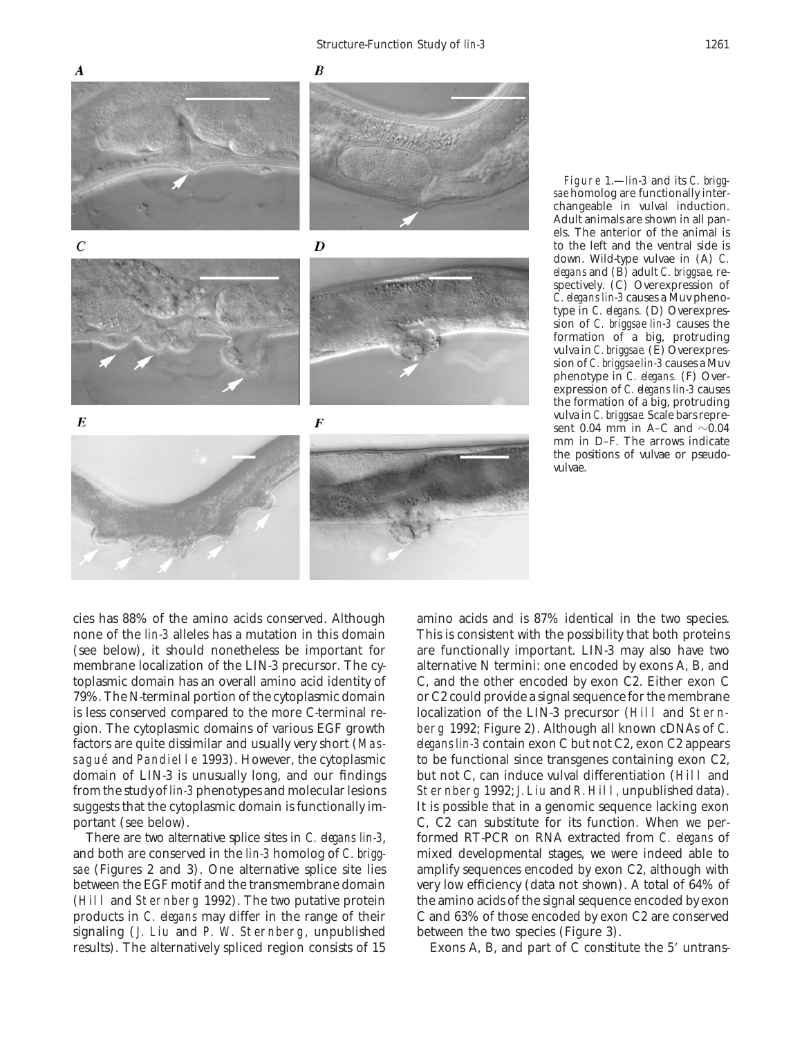

Figure 1.—*lin-3* and its *C. briggsae* homolog are functionally interchangeable in vulval induction. Adult animals are shown in all panels. The anterior of the animal is to the left and the ventral side is down. Wild-type vulvae in (A) *C. elegans* and (B) adult *C. briggsae*, respectively. (C) Overexpression of *C. elegans lin-3* causes a Muv phenotype in *C. elegans.* (D) Overexpression of *C. briggsae lin-3* causes the formation of a big, protruding vulva in *C. briggsae.* (E) Overexpression of *C. briggsae lin-3* causes a Muv phenotype in *C. elegans.* (F) Overexpression of *C. elegans lin-3* causes the formation of a big, protruding vulva in *C. briggsae.* Scale bars represent 0.04 mm in A–C and  $\sim$ 0.04 mm in D–F. The arrows indicate the positions of vulvae or pseudovulvae.

signaling (J. Liu and P. W. Sternberg, unpublished between the two species (Figure 3). results). The alternatively spliced region consists of 15 Exons A, B, and part of C constitute the 5' untrans-

cies has 88% of the amino acids conserved. Although amino acids and is 87% identical in the two species. none of the *lin-3* alleles has a mutation in this domain This is consistent with the possibility that both proteins (see below), it should nonetheless be important for are functionally important. LIN-3 may also have two membrane localization of the LIN-3 precursor. The cy-<br>alternative N termini: one encoded by exons A, B, and toplasmic domain has an overall amino acid identity of C, and the other encoded by exon C2. Either exon C 79%. The N-terminal portion of the cytoplasmic domain or C2 could provide a signal sequence for the membrane is less conserved compared to the more C-terminal re- localization of the LIN-3 precursor (Hill and Sterngion. The cytoplasmic domains of various EGF growth berg 1992; Figure 2). Although all known cDNAs of *C.* factors are quite dissimilar and usually very short (Mas- *elegans lin-3* contain exon C but not C2, exon C2 appears sagué and Pandielle 1993). However, the cytoplasmic to be functional since transgenes containing exon C2, domain of LIN-3 is unusually long, and our findings but not C, can induce vulval differentiation (Hill and from the study of *lin-3* phenotypes and molecular lesions Sternberg 1992; J. Liu and R. Hill, unpublished data). suggests that the cytoplasmic domain is functionally im- It is possible that in a genomic sequence lacking exon portant (see below). C, C2 can substitute for its function. When we per-There are two alternative splice sites in *C. elegans lin-3*, formed RT-PCR on RNA extracted from *C. elegans* of and both are conserved in the *lin-3* homolog of *C. brigg-* mixed developmental stages, we were indeed able to sae (Figures 2 and 3). One alternative splice site lies amplify sequences encoded by exon C2, although with between the EGF motif and the transmembrane domain very low efficiency (data not shown). A total of 64% of (Hill and Sternberg 1992). The two putative protein the amino acids of the signal sequence encoded by exon products in *C. elegans* may differ in the range of their C and 63% of those encoded by exon C2 are conserved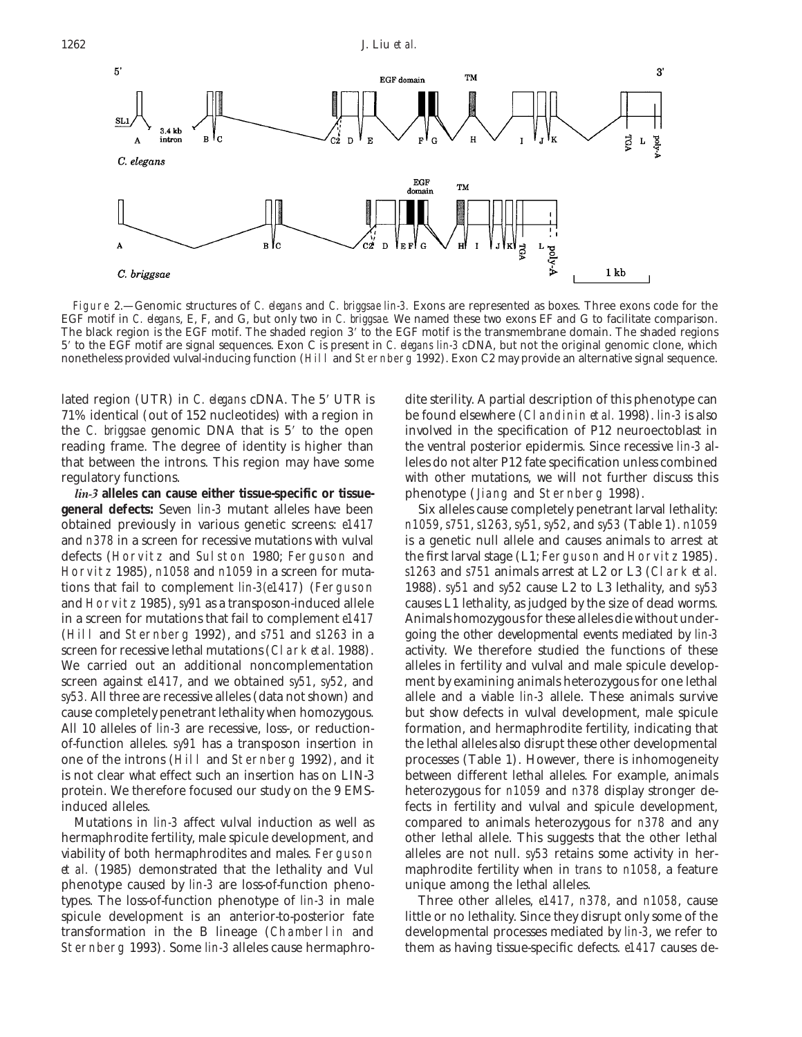

Figure 2.—Genomic structures of *C. elegans* and *C. briggsae lin-3.* Exons are represented as boxes. Three exons code for the EGF motif in *C. elegans*, E, F, and G, but only two in *C. briggsae.* We named these two exons EF and G to facilitate comparison. The black region is the EGF motif. The shaded region 3' to the EGF motif is the transmembrane domain. The shaded regions 59 to the EGF motif are signal sequences. Exon C is present in *C. elegans lin-3* cDNA, but not the original genomic clone, which nonetheless provided vulval-inducing function (Hill and Sternberg 1992). Exon C2 may provide an alternative signal sequence.

71% identical (out of 152 nucleotides) with a region in be found elsewhere (Clandinin *et al.* 1998). *lin-3* is also the *C. briggsae* genomic DNA that is 5' to the open involved in the specification of P12 neuroectoblast in reading frame. The degree of identity is higher than the ventral posterior epidermis. Since recessive *lin-3* althat between the introns. This region may have some leles do not alter P12 fate specification unless combined regulatory functions. with other mutations, we will not further discuss this

*lin-3* **alleles can cause either tissue-specific or tissue-** phenotype (Jiang and Sternberg 1998). **general defects:** Seven *lin-3* mutant alleles have been Six alleles cause completely penetrant larval lethality: obtained previously in various genetic screens: *e1417 n1059*, *s751*, *s1263*, *sy51*, *sy52*, and *sy53* (Table 1). *n1059* and *n378* in a screen for recessive mutations with vulval is a genetic null allele and causes animals to arrest at defects (Horvitz and Sulston 1980; Ferguson and the first larval stage (L1; Ferguson and Horvitz 1985). Horvitz 1985), *n1058* and *n1059* in a screen for muta- *s1263* and *s751* animals arrest at L2 or L3 (Clark *et al.* tions that fail to complement *lin-3(e1417*) (Ferguson 1988). *sy51* and *sy52* cause L2 to L3 lethality, and *sy53* and Horvitz 1985), *sy91* as a transposon-induced allele causes L1 lethality, as judged by the size of dead worms. in a screen for mutations that fail to complement *e1417* Animals homozygous for these alleles die without under- (Hill and Sternberg 1992), and *s751* and *s1263* in a going the other developmental events mediated by *lin-3* screen for recessive lethal mutations (Clark *et al.* 1988). activity. We therefore studied the functions of these We carried out an additional noncomplementation alleles in fertility and vulval and male spicule developscreen against *e1417*, and we obtained *sy51*, *sy52*, and ment by examining animals heterozygous for one lethal *sy53.* All three are recessive alleles (data not shown) and allele and a viable *lin-3* allele. These animals survive cause completely penetrant lethality when homozygous. but show defects in vulval development, male spicule All 10 alleles of *lin-3* are recessive, loss-, or reduction- formation, and hermaphrodite fertility, indicating that of-function alleles. *sy91* has a transposon insertion in the lethal alleles also disrupt these other developmental one of the introns (Hill and Sternberg 1992), and it processes (Table 1). However, there is inhomogeneity is not clear what effect such an insertion has on LIN-3 between different lethal alleles. For example, animals protein. We therefore focused our study on the 9 EMS- heterozygous for *n1059* and *n378* display stronger de-

hermaphrodite fertility, male spicule development, and other lethal allele. This suggests that the other lethal viability of both hermaphrodites and males. Ferguson alleles are not null. *sy53* retains some activity in her*et al.* (1985) demonstrated that the lethality and Vul maphrodite fertility when in *trans* to *n1058*, a feature phenotype caused by *lin-3* are loss-of-function pheno- unique among the lethal alleles. types. The loss-of-function phenotype of *lin-3* in male Three other alleles, *e1417*, *n378*, and *n1058*, cause spicule development is an anterior-to-posterior fate little or no lethality. Since they disrupt only some of the transformation in the B lineage (Chamberlin and developmental processes mediated by *lin-3*, we refer to

lated region (UTR) in *C. elegans* cDNA. The 5' UTR is dite sterility. A partial description of this phenotype can

induced alleles. fects in fertility and vulval and spicule development, Mutations in *lin-3* affect vulval induction as well as compared to animals heterozygous for *n378* and any

Sternberg 1993). Some *lin-3* alleles cause hermaphro- them as having tissue-specific defects. *e1417* causes de-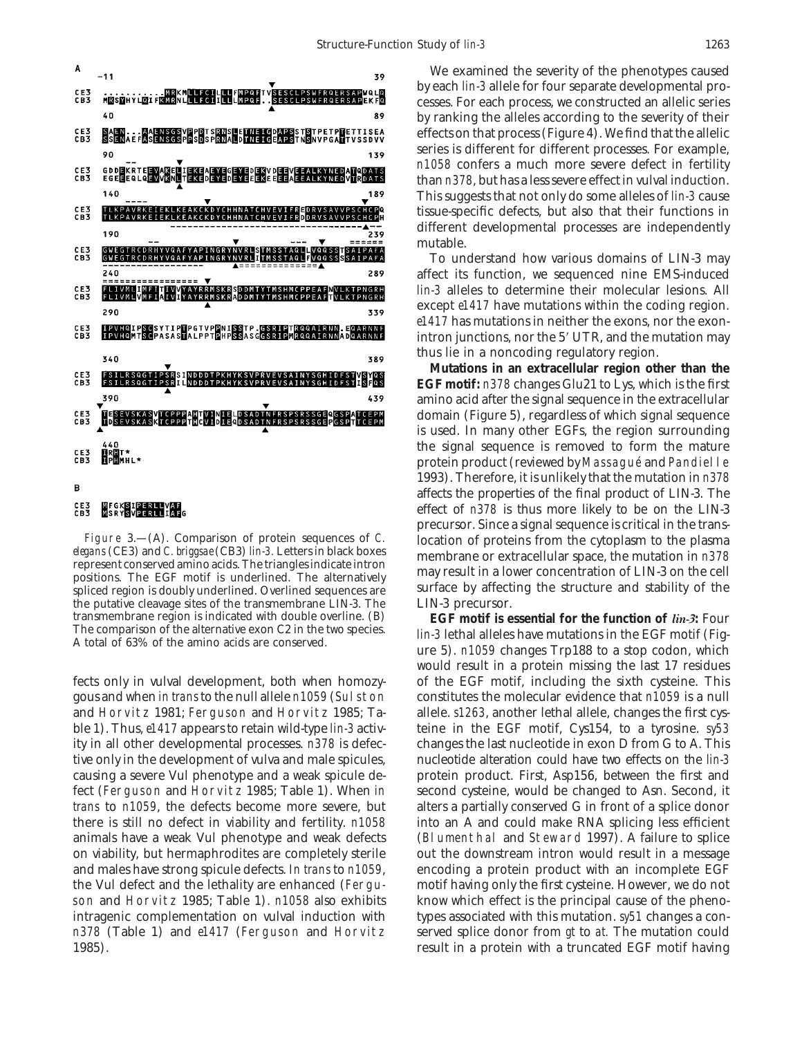

## CE3<br>CB3 **MEGKSIPERLLVAF**<br>MSRYSVPERLLIAFG

the putative cleavage sites of the transmembrane LIN-3. The transmembrane region is indicated with double overline. (B) **EGF motif is essential for the function of** *lin-3***:** Four

gous and when *in trans* to the null allele *n1059* (Sulston constitutes the molecular evidence that *n1059* is a null and Horvitz 1981; Ferguson and Horvitz 1985; Ta- allele. *s1263*, another lethal allele, changes the first cysble 1). Thus, *e1417* appears to retain wild-type *lin-3* activ- teine in the EGF motif, Cys154, to a tyrosine. *sy53* ity in all other developmental processes. *n378* is defec- changes the last nucleotide in exon D from G to A. This tive only in the development of vulva and male spicules, nucleotide alteration could have two effects on the *lin-3* causing a severe Vul phenotype and a weak spicule de- protein product. First, Asp156, between the first and fect (Ferguson and Horvitz 1985; Table 1). When *in* second cysteine, would be changed to Asn. Second, it *trans* to *n1059*, the defects become more severe, but alters a partially conserved G in front of a splice donor there is still no defect in viability and fertility. *n1058* into an A and could make RNA splicing less efficient animals have a weak Vul phenotype and weak defects (Blumenthal and Steward 1997). A failure to splice on viability, but hermaphrodites are completely sterile out the downstream intron would result in a message and males have strong spicule defects. *In trans* to *n1059*, encoding a protein product with an incomplete EGF the Vul defect and the lethality are enhanced (Fergu- motif having only the first cysteine. However, we do not son and Horvitz 1985; Table 1). *n1058* also exhibits know which effect is the principal cause of the phenointragenic complementation on vulval induction with types associated with this mutation. *sy51* changes a con*n378* (Table 1) and *e1417* (Ferguson and Horvitz served splice donor from *gt* to *at.* The mutation could 1985). The same state of the second term is a protein with a truncated EGF motif having

We examined the severity of the phenotypes caused by each *lin-3* allele for four separate developmental processes. For each process, we constructed an allelic series by ranking the alleles according to the severity of their effects on that process (Figure 4). We find that the allelic series is different for different processes. For example, *n1058* confers a much more severe defect in fertility than *n378*, but has a less severe effect in vulval induction. This suggests that not only do some alleles of *lin-3* cause tissue-specific defects, but also that their functions in different developmental processes are independently mutable.

To understand how various domains of LIN-3 may affect its function, we sequenced nine EMS-induced *lin-3* alleles to determine their molecular lesions. All except *e1417* have mutations within the coding region. *e1417* has mutations in neither the exons, nor the exonintron junctions, nor the  $5'$  UTR, and the mutation may thus lie in a noncoding regulatory region.

**Mutations in an extracellular region other than the EGF motif:** *n378* changes Glu21 to Lys, which is the first amino acid after the signal sequence in the extracellular domain (Figure 5), regardless of which signal sequence is used. In many other EGFs, the region surrounding the signal sequence is removed to form the mature protein product (reviewed by Massagué and Pandielle 1993). Therefore, it is unlikely that the mutation in *n378* affects the properties of the final product of LIN-3. The effect of *n378* is thus more likely to be on the LIN-3 precursor. Since a signal sequence is critical in the trans-Figure 3.—(A). Comparison of protein sequences of *C*. location of proteins from the cytoplasm to the plasma *elegans* (CE3) and *C. briggsae* (CB3) *lin-3*. Letters in black boxes represent conserved amino acids. The tri spliced region is doubly underlined. Overlined sequences are surface by affecting the structure and stability of the the putative cleavage sites of the transmembrane LIN-3. The LIN-3 precursor.

The comparison of the anemative exon Cz in the two species.<br>A total of 63% of the amino acids are conserved.<br>ure 5). *n1059* changes Trp188 to a stop codon, which would result in a protein missing the last 17 residues fects only in vulval development, both when homozy- of the EGF motif, including the sixth cysteine. This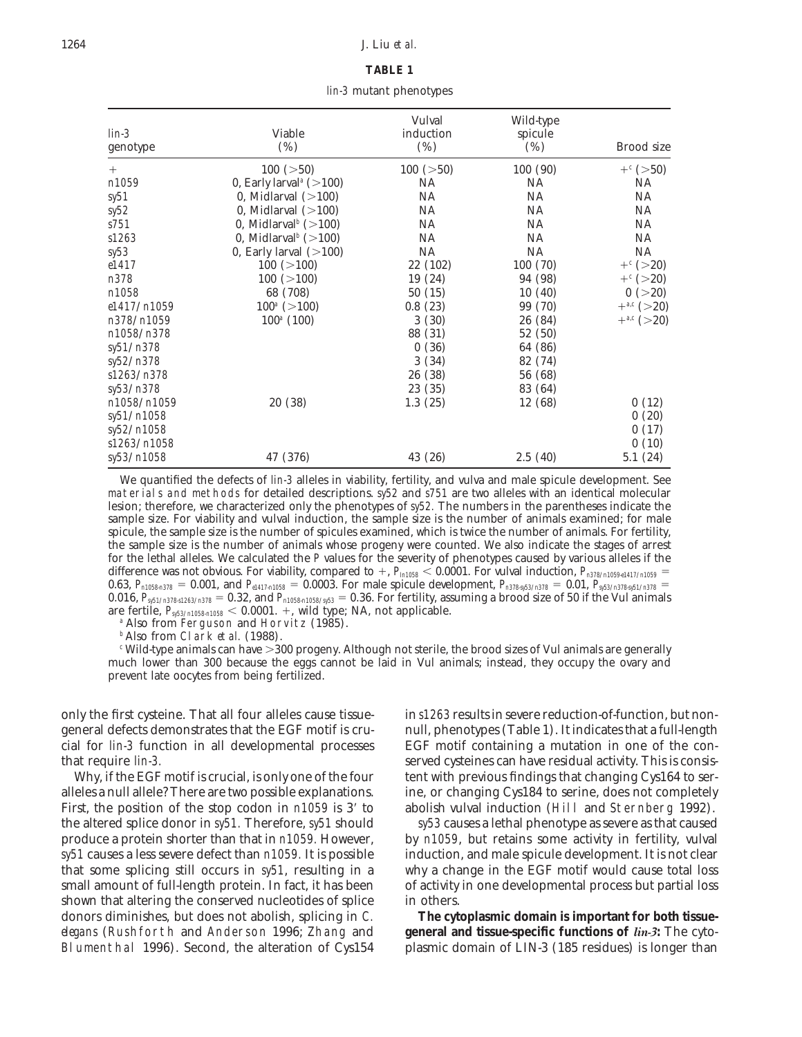## 1264 J. Liu *et al.*

# **TABLE 1**

*lin-3* mutant phenotypes

| $lin-3$<br>genotype | Viable<br>$(\%)$                                        | Vulval<br>induction<br>$(\%)$ | Wild-type<br>spicule<br>$(\%)$ | Brood size             |
|---------------------|---------------------------------------------------------|-------------------------------|--------------------------------|------------------------|
|                     |                                                         |                               |                                |                        |
| $^{+}$              | 100 (>50)                                               | 100 (>50)                     | 100(90)                        | $+$ <sup>c</sup> (>50) |
| n1059               | 0, Early larval <sup><math>a</math></sup> ( $>$ 100)    | NA.                           | <b>NA</b>                      | NA.                    |
| $s$ y51             | 0, Midlarval $(>100)$                                   | <b>NA</b>                     | <b>NA</b>                      | <b>NA</b>              |
| sy52                | 0, Midlarval $(>100)$                                   | <b>NA</b>                     | <b>NA</b>                      | NA                     |
| s751                | 0, Midlarval <sup><math>b</math></sup> (>100)           | <b>NA</b>                     | <b>NA</b>                      | NA                     |
| s1263               | 0, Midlarval <sup><math>\frac{b}{2}</math></sup> (>100) | NA                            | <b>NA</b>                      | NA.                    |
| sy53                | 0, Early larval $(>100)$                                | <b>NA</b>                     | <b>NA</b>                      | NA                     |
| e1417               | 100 (>100)                                              | 22 (102)                      | 100(70)                        | $+$ <sup>c</sup> (>20) |
| n378                | 100 (>100)                                              | 19 (24)                       | 94 (98)                        | $+$ <sup>c</sup> (>20) |
| n1058               | 68 (708)                                                | 50(15)                        | 10(40)                         | 0 (>20)                |
| e1417/n1059         | $100^a$ (>100)                                          | 0.8(23)                       | 99 (70)                        | $+^{a,c}$ (>20)        |
| n378/n1059          | $100^a$ (100)                                           | 3(30)                         | 26 (84)                        | $+^{a,c}$ (>20)        |
| n1058/n378          |                                                         | 88 (31)                       | 52 (50)                        |                        |
| sy51/n378           |                                                         | 0(36)                         | 64 (86)                        |                        |
| sy52/n378           |                                                         | 3(34)                         | 82 (74)                        |                        |
| s1263/n378          |                                                         | 26 (38)                       | 56 (68)                        |                        |
| sy53/n378           |                                                         | 23 (35)                       | 83 (64)                        |                        |
| n1058/n1059         | 20(38)                                                  | 1.3(25)                       | 12 (68)                        | 0(12)                  |
| sy51/n1058          |                                                         |                               |                                | 0(20)                  |
| sy52/n1058          |                                                         |                               |                                | 0(17)                  |
| s1263/n1058         |                                                         |                               |                                | 0(10)                  |
|                     |                                                         |                               |                                |                        |
| sy53/n1058          | 47 (376)                                                | 43 (26)                       | 2.5(40)                        | 5.1(24)                |

We quantified the defects of *lin-3* alleles in viability, fertility, and vulva and male spicule development. See materials and methods for detailed descriptions. *sy52* and *s751* are two alleles with an identical molecular lesion; therefore, we characterized only the phenotypes of *sy52.* The numbers in the parentheses indicate the sample size. For viability and vulval induction, the sample size is the number of animals examined; for male spicule, the sample size is the number of spicules examined, which is twice the number of animals. For fertility, the sample size is the number of animals whose progeny were counted. We also indicate the stages of arrest for the lethal alleles. We calculated the *P* values for the severity of phenotypes caused by various alleles if the difference was not obvious. For viability, compared to  $+$ ,  $P_{\text{In1058}} < 0.0001$ . For vulval induction,  $P_{\text{In378}/\text{n1059}}$   $=$  $0.63$ ,  $P_{n1058n378} = 0.001$ , and  $P_{e1417n1058} = 0.0003$ . For male spicule development,  $P_{n378953/n378} = 0.01$ ,  $P_{n53/n378551/n378} = 0.01$ 0.016,  $P_{\text{gs1/n378} \cdot 1263/n378} = 0.32$ , and  $P_{\text{n1058 n1058/n53}} = 0.36$ . For fertility, assuming a brood size of 50 if the Vul animals are fertile,  $P_{s_553/n1058n1058}$  < 0.0001. +, wild type; NA, not applicable.

*<sup>a</sup>* Also from Ferguson and Horvitz (1985).

*<sup>b</sup>* Also from Clark *et al.* (1988).

<sup>*c*</sup> Wild-type animals can have >300 progeny. Although not sterile, the brood sizes of Vul animals are generally much lower than 300 because the eggs cannot be laid in Vul animals; instead, they occupy the ovary and prevent late oocytes from being fertilized.

general defects demonstrates that the EGF motif is cru- null, phenotypes (Table 1). It indicates that a full-length cial for *lin-3* function in all developmental processes EGF motif containing a mutation in one of the conthat require *lin-3.* Served cysteines can have residual activity. This is consis-

alleles a null allele? There are two possible explanations. ine, or changing Cys184 to serine, does not completely First, the position of the stop codon in *n1059* is 3' to abolish vulval induction (Hill and Sternberg 1992). the altered splice donor in *sy51.* Therefore, *sy51* should *sy53* causes a lethal phenotype as severe as that caused produce a protein shorter than that in *n1059.* However, by *n1059*, but retains some activity in fertility, vulval *sy51* causes a less severe defect than *n1059.* It is possible induction, and male spicule development. It is not clear that some splicing still occurs in *sy51*, resulting in a why a change in the EGF motif would cause total loss small amount of full-length protein. In fact, it has been of activity in one developmental process but partial loss shown that altering the conserved nucleotides of splice in others. donors diminishes, but does not abolish, splicing in *C.* **The cytoplasmic domain is important for both tissue***elegans* (Rushforth and Anderson 1996; Zhang and **general and tissue-specific functions of** *lin-3***:** The cyto-

only the first cysteine. That all four alleles cause tissue- in *s1263* results in severe reduction-of-function, but non-Why, if the EGF motif is crucial, is only one of the four tent with previous findings that changing Cys164 to ser-

Blumenthal 1996). Second, the alteration of Cys154 plasmic domain of LIN-3 (185 residues) is longer than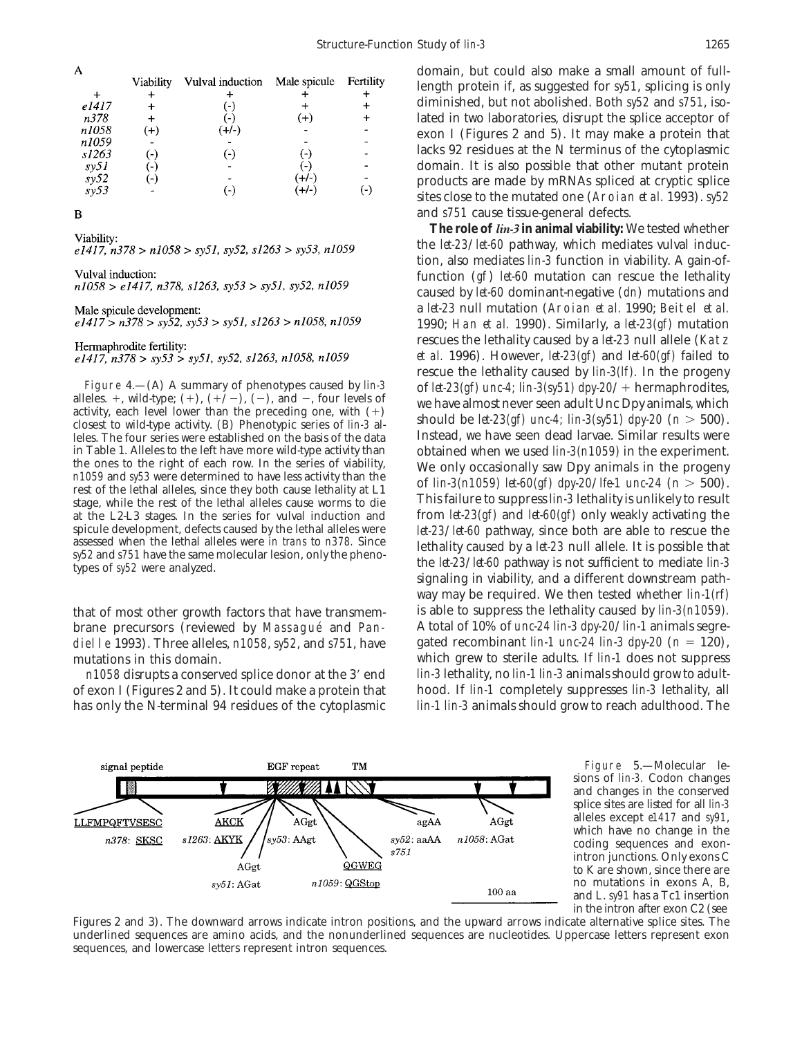| A                   |                |                          |              |                          |
|---------------------|----------------|--------------------------|--------------|--------------------------|
|                     | Viability      | Vulval induction         | Male spicule | Fertility                |
|                     | ╇              |                          |              |                          |
| e1417               |                | ( – )                    |              |                          |
| n378                |                | $\overline{\phantom{a}}$ | $(+)$        |                          |
| n1058               | $(+)$          | (+/-)                    |              |                          |
| n1059               |                |                          |              |                          |
| s1263               | ั−)            | ( – )                    | - 1          |                          |
| $s$ y51             | $\blacksquare$ |                          | $-$          |                          |
|                     |                |                          | (+/-)        |                          |
| $\frac{sy52}{sy53}$ |                |                          | $(+/-)$      | $\overline{\phantom{a}}$ |
|                     |                |                          |              |                          |

B

Viability:  $e1417, n378 > n1058 > sy51, sy52, s1263 > sy53, n1059$ 

Vulval induction:

 $n1058 > e1417$ ,  $n378$ ,  $s1263$ ,  $sy53 > sy51$ ,  $sy52$ ,  $n1059$ 

Male spicule development:

 $e1417 > n378 > s$ y52, sy53 > sy51, s1263 > n1058, n1059

Hermaphrodite fertility:

 $e1417, n378 > sy53 > sy51, sy52, s1263, n1058, n1059$ 

leles. The four series were established on the basis of the data Instead, we have seen dead larvae. Similar results were<br>in Table 1. Alleles to the left have more wild-type activity than obtained when we used *lin-3(n1059)* in Table 1. Alleles to the left have more wild-type activity than the ones to the right of each row. In the series of viability,<br>  $n1059$  and sy53 were determined to have less activity than the series of viability.<br>
rest at the L2-L3 stages. In the series for vulval induction and from *let-23(gf)* and *let-60(gf)* only weakly activating the

of exon I (Figures 2 and 5). It could make a protein that hood. If *lin-1* completely suppresses *lin-3* lethality, all has only the N-terminal 94 residues of the cytoplasmic *lin-1 lin-3* animals should grow to reach adulthood. The

domain, but could also make a small amount of fulllength protein if, as suggested for *sy51*, splicing is only diminished, but not abolished. Both *sy52* and *s751*, isolated in two laboratories, disrupt the splice acceptor of exon I (Figures 2 and 5). It may make a protein that lacks 92 residues at the N terminus of the cytoplasmic domain. It is also possible that other mutant protein products are made by mRNAs spliced at cryptic splice sites close to the mutated one (Aroian *et al.* 1993). *sy52* and *s751* cause tissue-general defects.

**The role of** *lin-3* **in animal viability:** We tested whether the *let-23*/*let-60* pathway, which mediates vulval induction, also mediates *lin-3* function in viability. A gain-offunction (*gf*) *let-60* mutation can rescue the lethality caused by *let-60* dominant-negative (*dn*) mutations and a *let-23* null mutation (Aroian *et al.* 1990; Beitel *et al.* 1990; Han *et al.* 1990). Similarly, a *let-23(gf)* mutation rescues the lethality caused by a *let-23* null allele (Katz *et al.* 1996). However, *let-23(gf)* and *let-60(gf)* failed to rescue the lethality caused by *lin-3(lf).* In the progeny Figure 4.—(A) A summary of phenotypes caused by *lin-3* of *let-23(gf)* unc-4; *lin-3(sy51) dpy-20/* + hermaphrodites, alleles. +, wild-type; (+), (+/-), (-), and -, four levels of we have almost never seen adult Unc Dp spicule development, defects caused by the lethal alleles were<br>assessed when the lethal alleles were *in trans* to *n378*. Since<br>*sy52* and *s751* have the same molecular lesion, only the pheno-<br>types of *sy52* were analy way may be required. We then tested whether *lin-1(rf)* that of most other growth factors that have transmem- is able to suppress the lethality caused by *lin-3(n1059).* brane precursors (reviewed by Massagué and Pan- A total of 10% of *unc-24 lin-3 dpy-20/lin-1* animals segredielle 1993). Three alleles,  $n1058$ ,  $syz2$ , and  $s751$ , have gated recombinant  $\lim_{t \to \infty} I$  and  $\lim_{t \to \infty} 3$  dpy-20 ( $n = 120$ ), mutations in this domain. which grew to sterile adults. If *lin-1* does not suppress *n1058* disrupts a conserved splice donor at the 3' end *lin-3* lethality, no *lin-1 lin-3* animals should grow to adult-



Figure 5.—Molecular lesions of *lin-3.* Codon changes and changes in the conserved splice sites are listed for all *lin-3* alleles except *e1417* and *sy91*, which have no change in the coding sequences and exonintron junctions. Only exons C to K are shown, since there are no mutations in exons A, B, and L. *sy91* has a Tc1 insertion in the intron after exon C2 (see

Figures 2 and 3). The downward arrows indicate intron positions, and the upward arrows indicate alternative splice sites. The underlined sequences are amino acids, and the nonunderlined sequences are nucleotides. Uppercase letters represent exon sequences, and lowercase letters represent intron sequences.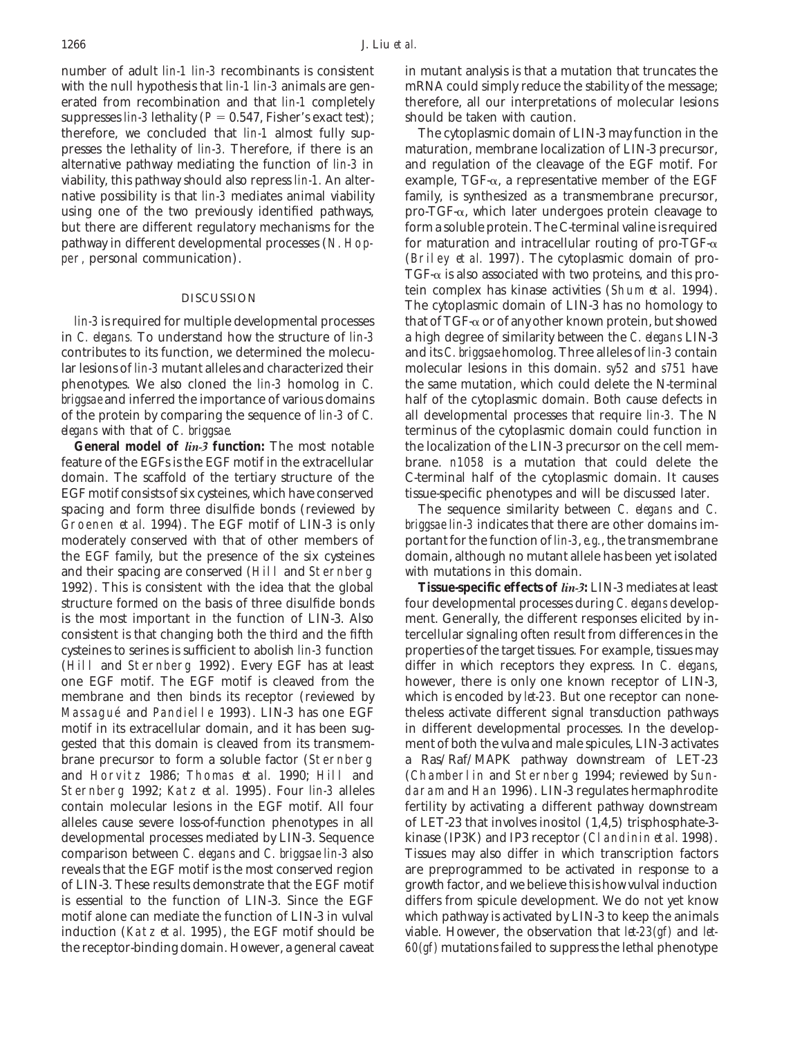number of adult *lin-1 lin-3* recombinants is consistent in mutant analysis is that a mutation that truncates the with the null hypothesis that *lin-1 lin-3* animals are gen- mRNA could simply reduce the stability of the message; erated from recombination and that *lin-1* completely therefore, all our interpretations of molecular lesions suppresses *lin-3* lethality ( $P = 0.547$ , Fisher's exact test); should be taken with caution. therefore, we concluded that *lin-1* almost fully sup- The cytoplasmic domain of LIN-3 may function in the presses the lethality of *lin-3.* Therefore, if there is an maturation, membrane localization of LIN-3 precursor, alternative pathway mediating the function of *lin-3* in and regulation of the cleavage of the EGF motif. For viability, this pathway should also repress *lin-1.* An alter- example, TGF-a, a representative member of the EGF native possibility is that *lin-3* mediates animal viability family, is synthesized as a transmembrane precursor, using one of the two previously identified pathways, pro-TGF- $\alpha$ , which later undergoes protein cleavage to but there are different regulatory mechanisms for the form a soluble protein. The C-terminal valine is required pathway in different developmental processes (N. Hop- for maturation and intracellular routing of pro-TGF- $\alpha$ per, personal communication). (Briley *et al.* 1997). The cytoplasmic domain of pro-

in *C. elegans.* To understand how the structure of *lin-3* a high degree of similarity between the *C. elegans* LIN-3 contributes to its function, we determined the molecu- and its *C. briggsae* homolog. Three alleles of *lin-3* contain lar lesions of *lin-3* mutant alleles and characterized their molecular lesions in this domain. *sy52* and *s751* have phenotypes. We also cloned the *lin-3* homolog in *C.* the same mutation, which could delete the N-terminal *briggsae* and inferred the importance of various domains half of the cytoplasmic domain. Both cause defects in of the protein by comparing the sequence of *lin-3* of *C.* all developmental processes that require *lin-3.* The N *elegans* with that of *C. briggsae.* terminus of the cytoplasmic domain could function in

feature of the EGFs is the EGF motif in the extracellular brane. *n1058* is a mutation that could delete the domain. The scaffold of the tertiary structure of the C-terminal half of the cytoplasmic domain. It causes EGF motif consists of six cysteines, which have conserved tissue-specific phenotypes and will be discussed later. spacing and form three disulfide bonds (reviewed by The sequence similarity between *C. elegans* and *C.* Groenen *et al.* 1994). The EGF motif of LIN-3 is only *briggsae lin-3* indicates that there are other domains immoderately conserved with that of other members of portant for the function of *lin-3*, *e.g.*, the transmembrane the EGF family, but the presence of the six cysteines domain, although no mutant allele has been yet isolated and their spacing are conserved (Hill and Sternberg with mutations in this domain. 1992). This is consistent with the idea that the global **Tissue-specific effects of** *lin-3***:** LIN-3 mediates at least structure formed on the basis of three disulfide bonds four developmental processes during *C. elegans* developis the most important in the function of LIN-3. Also ment. Generally, the different responses elicited by inconsistent is that changing both the third and the fifth tercellular signaling often result from differences in the cysteines to serines is sufficient to abolish *lin-3* function properties of the target tissues. For example, tissues may (Hill and Sternberg 1992). Every EGF has at least differ in which receptors they express. In *C. elegans*, one EGF motif. The EGF motif is cleaved from the however, there is only one known receptor of LIN-3, membrane and then binds its receptor (reviewed by which is encoded by *let-23.* But one receptor can none-Massagué and Pandielle 1993). LIN-3 has one EGF theless activate different signal transduction pathways motif in its extracellular domain, and it has been sug- in different developmental processes. In the developgested that this domain is cleaved from its transmem- ment of both the vulva and male spicules, LIN-3 activates brane precursor to form a soluble factor (Sternberg a Ras/Raf/MAPK pathway downstream of LET-23 and Horvitz 1986; Thomas *et al.* 1990; Hill and (Chamberlin and Sternberg 1994; reviewed by Sun-Sternberg 1992; Katz *et al.* 1995). Four *lin-3* alleles daram and Han 1996). LIN-3 regulates hermaphrodite contain molecular lesions in the EGF motif. All four fertility by activating a different pathway downstream alleles cause severe loss-of-function phenotypes in all of LET-23 that involves inositol (1,4,5) trisphosphate-3 developmental processes mediated by LIN-3. Sequence kinase (IP3K) and IP3 receptor (Clandinin *et al.* 1998). comparison between *C. elegans* and *C. briggsae lin-3* also Tissues may also differ in which transcription factors reveals that the EGF motif is the most conserved region are preprogrammed to be activated in response to a of LIN-3. These results demonstrate that the EGF motif growth factor, and we believe this is how vulval induction is essential to the function of LIN-3. Since the EGF differs from spicule development. We do not yet know motif alone can mediate the function of LIN-3 in vulval which pathway is activated by LIN-3 to keep the animals induction (Katz *et al.* 1995), the EGF motif should be viable. However, the observation that *let-23(gf)* and *let*the receptor-binding domain. However, a general caveat *60(gf)* mutations failed to suppress the lethal phenotype

 $TGF-\alpha$  is also associated with two proteins, and this protein complex has kinase activities (Shum *et al.* 1994).<br>The cytoplasmic domain of LIN-3 has no homology to *lin-3* is required for multiple developmental processes that of TGF-α or of any other known protein, but showed General model of *lin-3* function: The most notable the localization of the LIN-3 precursor on the cell mem-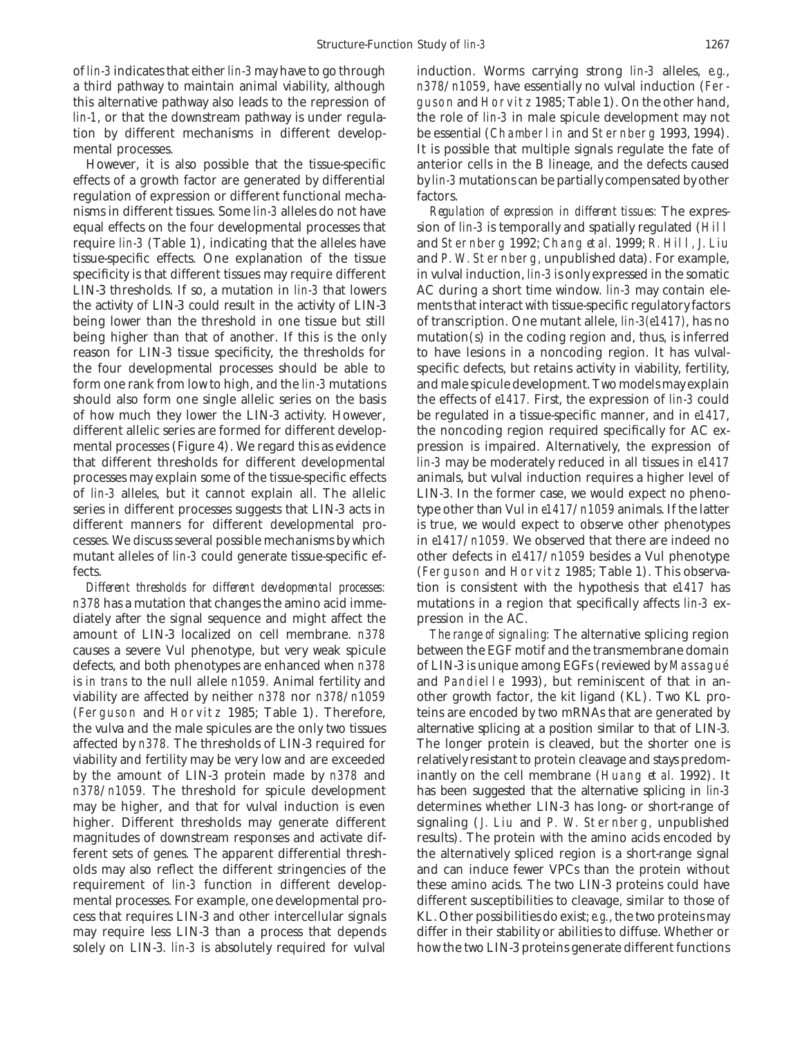of *lin-3* indicates that either *lin-3* may have to go through induction. Worms carrying strong *lin-3* alleles, *e.g.*, tion by different mechanisms in different develop- be essential (Chamberlin and Sternberg 1993, 1994).

effects of a growth factor are generated by differential by *lin-3* mutations can be partially compensated by other regulation of expression or different functional mecha- factors. nisms in different tissues. Some *lin-3* alleles do not have *Regulation of expression in different tissues:* The expresequal effects on the four developmental processes that sion of *lin-3* is temporally and spatially regulated (Hill require *lin-3* (Table 1), indicating that the alleles have and Sternberg 1992; Chang *et al.* 1999; R. Hill, J. Liu tissue-specific effects. One explanation of the tissue and P. W. Sternberg, unpublished data). For example, specificity is that different tissues may require different in vulval induction, *lin-3* is only expressed in the somatic LIN-3 thresholds. If so, a mutation in *lin-3* that lowers AC during a short time window. *lin-3* may contain elethe activity of LIN-3 could result in the activity of LIN-3 ments that interact with tissue-specific regulatory factors being lower than the threshold in one tissue but still of transcription. One mutant allele, *lin-3(e1417)*, has no being higher than that of another. If this is the only mutation(s) in the coding region and, thus, is inferred reason for LIN-3 tissue specificity, the thresholds for to have lesions in a noncoding region. It has vulvalthe four developmental processes should be able to specific defects, but retains activity in viability, fertility, form one rank from low to high, and the *lin-3* mutations and male spicule development. Two models may explain should also form one single allelic series on the basis the effects of *e1417.* First, the expression of *lin-3* could of how much they lower the LIN-3 activity. However, be regulated in a tissue-specific manner, and in *e1417*, different allelic series are formed for different develop-<br>the noncoding region required specifically for AC exmental processes (Figure 4). We regard this as evidence pression is impaired. Alternatively, the expression of that different thresholds for different developmental *lin-3* may be moderately reduced in all tissues in *e1417* processes may explain some of the tissue-specific effects animals, but vulval induction requires a higher level of of *lin-3* alleles, but it cannot explain all. The allelic LIN-3. In the former case, we would expect no phenoseries in different processes suggests that LIN-3 acts in type other than Vul in *e1417*/*n1059* animals. If the latter different manners for different developmental pro- is true, we would expect to observe other phenotypes cesses. We discuss several possible mechanisms by which in *e1417*/*n1059.* We observed that there are indeed no mutant alleles of *lin-3* could generate tissue-specific ef- other defects in *e1417*/*n1059* besides a Vul phenotype fects. (Ferguson and Horvitz 1985; Table 1). This observa-

*n378* has a mutation that changes the amino acid imme- mutations in a region that specifically affects *lin-3* exdiately after the signal sequence and might affect the pression in the AC. amount of LIN-3 localized on cell membrane. *n378 The range of signaling:* The alternative splicing region causes a severe Vul phenotype, but very weak spicule between the EGF motif and the transmembrane domain defects, and both phenotypes are enhanced when *n378* of LIN-3 is unique among EGFs (reviewed by Massague´ is *in trans* to the null allele *n1059*. Animal fertility and and Pandielle 1993), but reminiscent of that in anviability are affected by neither *n378* nor *n378*/*n1059* other growth factor, the kit ligand (KL). Two KL pro- (Ferguson and Horvitz 1985; Table 1). Therefore, teins are encoded by two mRNAs that are generated by the vulva and the male spicules are the only two tissues alternative splicing at a position similar to that of LIN-3. affected by *n378.* The thresholds of LIN-3 required for The longer protein is cleaved, but the shorter one is viability and fertility may be very low and are exceeded relatively resistant to protein cleavage and stays predomby the amount of LIN-3 protein made by *n378* and inantly on the cell membrane (Huang *et al.* 1992). It *n378*/*n1059.* The threshold for spicule development has been suggested that the alternative splicing in *lin-3* may be higher, and that for vulval induction is even determines whether LIN-3 has long- or short-range of higher. Different thresholds may generate different signaling (J. Liu and P. W. Sternberg, unpublished magnitudes of downstream responses and activate dif- results). The protein with the amino acids encoded by ferent sets of genes. The apparent differential thresh- the alternatively spliced region is a short-range signal olds may also reflect the different stringencies of the and can induce fewer VPCs than the protein without requirement of *lin-3* function in different develop-<br>these amino acids. The two LIN-3 proteins could have mental processes. For example, one developmental pro- different susceptibilities to cleavage, similar to those of cess that requires LIN-3 and other intercellular signals KL. Other possibilities do exist; *e.g.*, the two proteins may may require less LIN-3 than a process that depends differ in their stability or abilities to diffuse. Whether or solely on LIN-3. *lin-3* is absolutely required for vulval how the two LIN-3 proteins generate different functions

a third pathway to maintain animal viability, although *n378*/*n1059*, have essentially no vulval induction (Ferthis alternative pathway also leads to the repression of guson and Horvitz 1985; Table 1). On the other hand, *lin-1*, or that the downstream pathway is under regula-<br>the role of *lin-3* in male spicule development may not mental processes. The interval processes in the fate of the fate of the fate of the fate of the fate of the fate of the fate of the fate of the fate of the fate of the fate of the fate of the fate of the fate of the fate o However, it is also possible that the tissue-specific anterior cells in the B lineage, and the defects caused

*Different thresholds for different developmental processes:* tion is consistent with the hypothesis that *e1417* has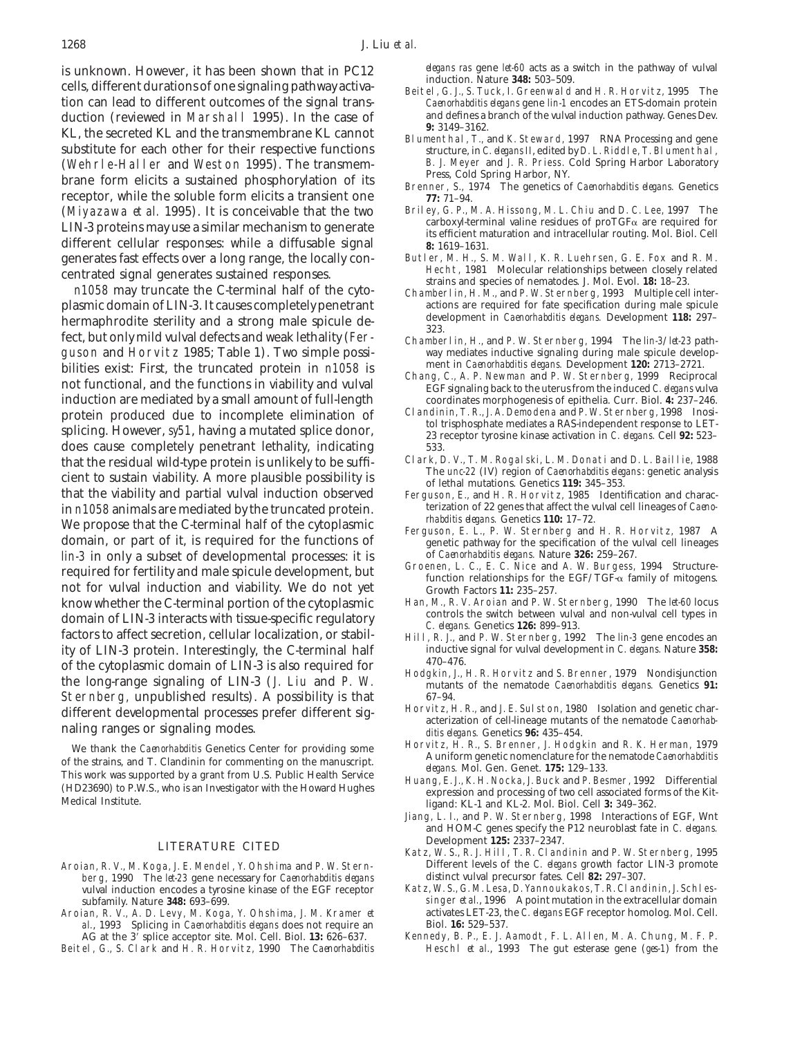is unknown. However, it has been shown that in PC12 *elegans ras* gene *let-60* acts as a switch in the pathway of vulval<br>cells, different durations of one signaling pathway activa-<br>tion can lead to different outcomes of t duction (reviewed in Marshall 1995). In the case of and defines a branch of the vulval induction pathway. Genes Dev.<br>
KL, the secreted KL and the transmembrane KL cannot substitute for each other for their respective funct (Wehrle-Haller and Weston 1995). The transmem-<br>
B. J. Meyer and J. R. Priess. Cold Spring Harbor Laboratory<br>
Press, Cold Spring Harbor, NY.<br>
Brenner, S., 1974 The genetics of *Caenorhabditis elegans*. Genetics receptor, while the soluble form elicits a transient one **77:** 71–94. (Miyazawa *et al.* 1995). It is conceivable that the two Briley, G. P., M. A. Hissong, M. L. Chiu and D. C. Lee, 1997 The carboxyl-terminal valine residues of proTGF<sub>a</sub> are required for LIN-3 proteins may use a similar mechanism to generate<br>different cellular responses: while a diffusable signal<br>generates fast effects over a long range, the locally con-<br>Butler, M. H., S. M. Wall, K. R. Luehrsen, G. E. Fox generates fast effects over a long range, the locally con-<br>
Butler, M. H., S. M. Wall, K. R. Luehrsen, G. E. Fox and R. M.<br>
Hecht, 1981 Molecular relationships between closely related

plasmic domain of LIN-3. It causes completely penetrant actions are required for fate specification during male spicule<br>horman brodite sterility and a strong male spicule development in *Caenorhabditis elegans*. Developmen hermaphrodite sterility and a strong male spicule de-<br>fect, but only mild vulval defects and weak lethality (Fer-<br>guson and Horvitz 1985; Table 1). Two simple possi-<br>way mediates inductive signaling during male spicule dev bilities exist: First, the truncated protein in *n1058* is<br>not functional, and the functions in viability and vulval<br>induction are mediated by a small amount of full-length<br>induction are mediated by a small amount of fullinduction are mediated by a small amount of full-length coordinates morphogenesis of epithelia. Curr. Biol. **4:** 237–246. protein produced due to incomplete elimination of Clandinin, T. R., J. A. Demodena and P. W. Sternberg, 1998 Inosisphicing. However, *sy51*, having a mutated splice donor,<br>23 receptor tyrosine kinase activation in *C. eleg* does cause completely penetrant lethality, indicating 533.<br>
that the residual wild-type protein is unlikely to be suffi- Clark, D. V., T. M. Rogalski, L. M. Donati and D. L. Baillie, 1988 that the residual wild-type protein is unlikely to be sufficed and D. L. Bail lie, 1988<br>cient to sustain viability. A more plausible possibility is<br>that the viability and partial vulval induction observed<br>that the viabilit in *n1058* animals are mediated by the truncated protein.<br>We propose that the C-terminal half of the cytoplasmic<br>domain, or part of it, is required for the functions of *rhabditis elegans*. Genetics 110: 17-72.<br>domain, or domain, or part of it, is required for the functions of *lin-3* in only a subset of developmental processes: it is the subset of developmental processes: it is required for fertility and male spicule development, but not for vulval induction and viability. We do not yet know w know whether the C-terminal portion of the cytoplasmic Han, M., R. V. Aroian and P. W. Sternberg, 1990 The *let-60* locus<br>domain of I IN 3 interacts with tissue specific requlatory controls the switch between vulval and no domain of LIN-3 interacts with tissue-specific regulatory<br>factors to affect secretion, cellular localization, or stabil-<br>ity of LIN-3 protein. Interestingly, the C-terminal half<br>iductive signal for vulval development in *C* ity of LIN-3 protein. Interestingly, the C-terminal half inductive set the extendence of the content of  $I$ ,  $N$ ,  $3$  is also negative for  $\frac{470-476}{5}$ of the cytoplasmic domain of LIN-3 is also required for<br>the long-range signaling of LIN-3 (J. Liu and P. W. Hodgkin, J., H. R. Horvitz and S. Brenner, 1979 Nondisjunction<br>mutants of the nematode *Caenorhabditis elegans*. Sternberg, unpublished results). A possibility is that 67-94.<br>
different developmental processes prefer different sig. Horvitz, H. R., and J. E. Sulston, 1980 Isolation and genetic char-

We thank the *Caenorhabditis* Genetics Center for providing some<br>
of the strains, and T. Clandinin for commenting on the manuscript.<br>
This work was supported by a grant from U.S. Public Health Service<br>
(HD23690) to P.W.S.,

- berg, 1990 The *let-23* gene necessary for *Caenorhabditis elegans* distinct vulval precursor fates. Cell 82: 297–307.<br>
vulval induction encodes a tyrosine kinase of the EGF receptor Katz, W.S., G.M. Lesa, D. Yannoukakos, vulval induction encodes a tyrosine kinase of the EGF receptor
- Aroian, R. V., A. D. Levy, M. Koga, Y. Ohshima, J. M. Kramer *et* activates LET-23, the *C. el.* elegans does not require an *Caenorhabditis elegans* does not require an *Biol.* **16:** 529–537. *al.*, 1993 Splicing in *Caenorhabditis elegans* does not require an Biol. **16:** 529–537. AG at the 3' splice acceptor site. Mol. Cell. Biol. 13: 626-637.
- 

- Caenorhabditis elegans gene *lin-1* encodes an ETS-domain protein<br>and defines a branch of the vulval induction pathway. Genes Dev.
- structure, in *C. elegans II*, edited by D. L. Riddle, T. Blumenthal, B. J. Meyer and J. R. Priess. Cold Spring Harbor Laboratory
- 
- 
- entrated signal generates sustained responses.<br>Hecht, 1981 Molecular relationships between closely relationships between closely relationships between closely<br>Chamberlin H M and p w Sternberg 1993 Multiple cell.
	- Chamberlin, H. M., and P. W. Sternberg, 1993 Multiple cell inter-
	- way mediates inductive signaling during male spicule development in *Caenorhabditis elegans*. Development 120: 2713-2721.
	-
	-
	-
	- Ferguson, E., and H. R. Horvitz, 1985 Identification and characterization of 22 genes that affect the vulval cell lineages of *Caeno-*
	-
	-
	-
	-
	-
- different developmental processes prefer different signaming the processes prefer different signaming the materization of cell-lineage mutants of the nematode *Caenorhab*<br>maling ranges or signaling modes.<br>We thank the *Cae* 
	-
	-
	- Jiang, L. I., and P. W. Sternberg, 1998 Interactions of EGF, Wnt and HOM-C genes specify the P12 neuroblast fate in *C. elegans.*
- Development **125:** 2337–2347. LITERATURE CITED Katz, W. S., R. J. Hill, T. R. Clandinin and P. W. Sternberg, <sup>1995</sup> Aroian, R. V., M. Koga, J. E. Mendel, Y. Ohshima and P. W. Stern-<br>berg. 1990 The *let-23* gene necessary for *Caenorhabditis elegans* distinct vulval precursor fates. Cell **82:** 297-307.
	- subfamily. Nature **348:** 693–699.<br>ian, R. V., A. D. Levy, M. Koga, Y. Ohshima, J. M. Kramer *et* activates LET-23, the *C. elegans* EGF receptor homolog. Mol. Cell.
- Beitel, G., S. Clark and H. R. Horvitz, 1990 The *Caenorhabditis* Heschl *et al.*, 1993 The gut esterase gene (*ges-1*) from the